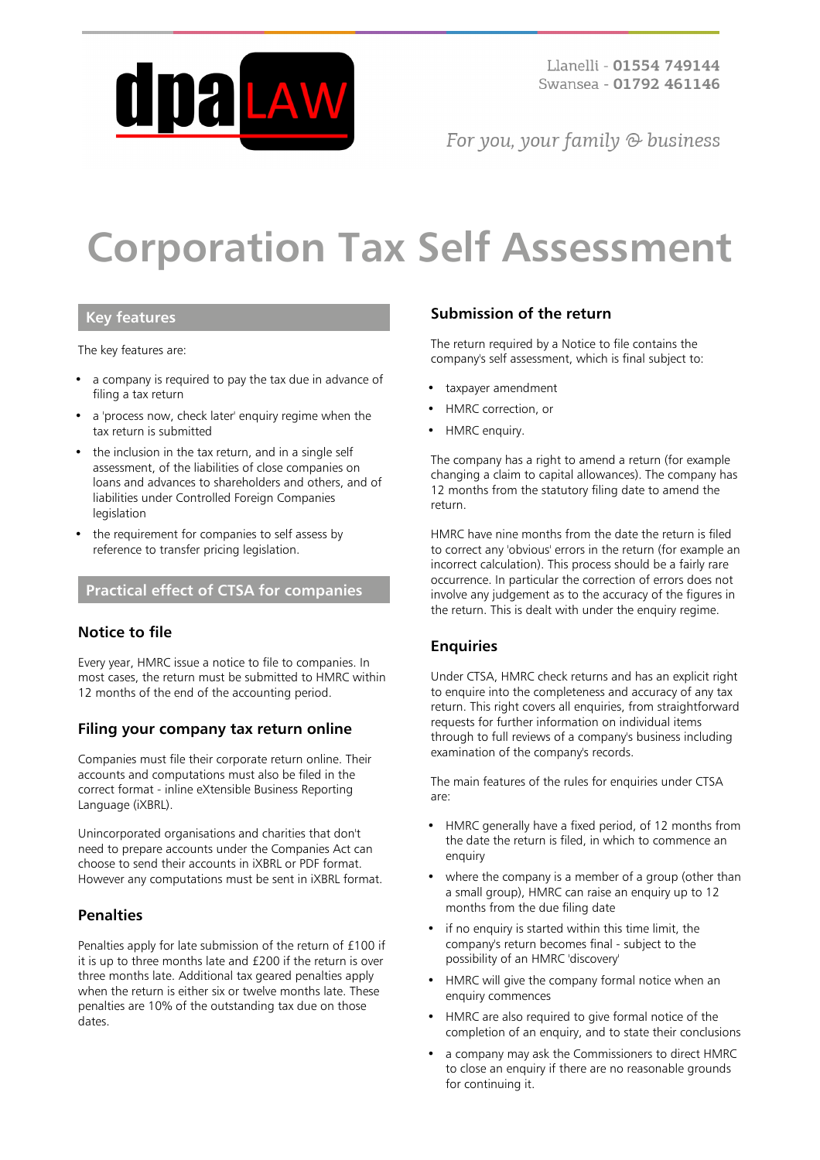

For you, your family  $\odot$  business

# **Corporation Tax Self Assessment**

#### **Key features**

The key features are:

- a company is required to pay the tax due in advance of filing a tax return
- a 'process now, check later' enquiry regime when the tax return is submitted
- the inclusion in the tax return, and in a single self assessment, of the liabilities of close companies on loans and advances to shareholders and others, and of liabilities under Controlled Foreign Companies legislation
- the requirement for companies to self assess by reference to transfer pricing legislation.

# **Practical effect of CTSA for companies**

#### **Notice to file**

Every year, HMRC issue a notice to file to companies. In most cases, the return must be submitted to HMRC within 12 months of the end of the accounting period.

### **Filing your company tax return online**

Companies must file their corporate return online. Their accounts and computations must also be filed in the correct format - inline eXtensible Business Reporting Language (iXBRL).

Unincorporated organisations and charities that don't need to prepare accounts under the Companies Act can choose to send their accounts in iXBRL or PDF format. However any computations must be sent in iXBRL format.

#### **Penalties**

Penalties apply for late submission of the return of £100 if it is up to three months late and £200 if the return is over three months late. Additional tax geared penalties apply when the return is either six or twelve months late. These penalties are 10% of the outstanding tax due on those dates.

#### **Submission of the return**

The return required by a Notice to file contains the company's self assessment, which is final subject to:

- taxpayer amendment
- HMRC correction, or
- HMRC enquiry.

The company has a right to amend a return (for example changing a claim to capital allowances). The company has 12 months from the statutory filing date to amend the return.

HMRC have nine months from the date the return is filed to correct any 'obvious' errors in the return (for example an incorrect calculation). This process should be a fairly rare occurrence. In particular the correction of errors does not involve any judgement as to the accuracy of the figures in the return. This is dealt with under the enquiry regime.

#### **Enquiries**

Under CTSA, HMRC check returns and has an explicit right to enquire into the completeness and accuracy of any tax return. This right covers all enquiries, from straightforward requests for further information on individual items through to full reviews of a company's business including examination of the company's records.

The main features of the rules for enquiries under CTSA are:

- HMRC generally have a fixed period, of 12 months from the date the return is filed, in which to commence an enquiry
- where the company is a member of a group (other than a small group), HMRC can raise an enquiry up to 12 months from the due filing date
- if no enquiry is started within this time limit, the company's return becomes final - subject to the possibility of an HMRC 'discovery'
- HMRC will give the company formal notice when an enquiry commences
- HMRC are also required to give formal notice of the completion of an enquiry, and to state their conclusions
- a company may ask the Commissioners to direct HMRC to close an enquiry if there are no reasonable grounds for continuing it.